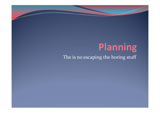## Planning The is no escaping the boring stuff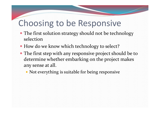## Choosing to be Responsive

- The first solution strategy should not be technology selection
- How do we know which technology to select?
- The first step with any responsive project should be to determine whether embarking on the project makes any sense at all.
	- Not everything is suitable for being responsive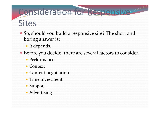# Consideration for Responsive Sites

- So, should you build a responsive site? The short and boring answer is:
	- It depends.
- Before you decide, there are several factors to consider:
	- Performance
	- Context
	- Content negotiation
	- Time investment
	- Support
	- Advertising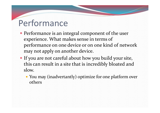# Performance

- Performance is an integral componen<sup>t</sup> of the user experience. What makes sense in terms of performance on one device or on one kind of network may not apply on another device.
- If you are not careful about how you build your site, this can result in a site that is incredibly bloated and slow.
	- You may (inadvertantly) optimize for one <sup>p</sup>latform over others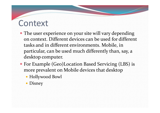#### **Context**

- The user experience on your site will vary depending on context. Different devices can be used for different tasks and in different environments. Mobile, in particular, can be used much differently than, say, <sup>a</sup> desktop computer.
- For Example (Geo)Location Based Servicing (LBS) is more prevalent on Mobile devices that desktop
	- Hollywood Bowl
	- Disney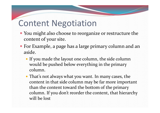### Content Negotiation

- You might also choose to reorganize or restructure the content of your site.
- For Example, <sup>a</sup> page has <sup>a</sup> large primary column and an aside.
	- If you made the layout one column, the side column would be pushed below everything in the primary column.
	- That's not always what you want. In many cases, the content in that side column may be far more important than the content toward the bottom of the primary column. If you don't reorder the content, that hierarchy will be lost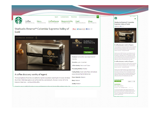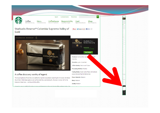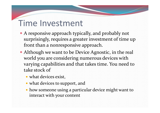## Time Investment

- A responsive approach typically, and probably not surprisingly, requires <sup>a</sup> greater investment of time up front than <sup>a</sup> nonresponsive approach.
- Although we want to be Device Agnostic, in the real world you are considering numerous devices with varying capabilities and that takes time. You need to take stock of
	- what devices exist,
	- what devices to support, and
	- how someone using <sup>a</sup> particular device might want to interact with your content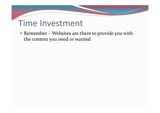## Time Investment

• Remember – Websites are there to provide you with the content you need or wanted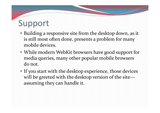# Support

- Building <sup>a</sup> responsive site from the desktop down, as it is still most often done, presents <sup>a</sup> problem for many mobile devices.
- While modern WebKit browsers have good suppor<sup>t</sup> for media queries, many other popular mobile browsers do not.
- If you start with the desktop experience, those devices will be greeted with the desktop version of the site assuming they can handle it.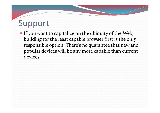# Support

 If you want to capitalize on the ubiquity of the Web, building for the least capable browser first is the only responsible option. There's no guarantee that new and popular devices will be any more capable than current devices.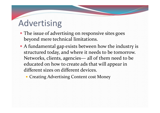# Advertising

- The issue of advertising on responsive sites goes beyond mere technical limitations.
- A fundamental gap exists between how the industry is structured today, and where it needs to be tomorrow. Networks, clients, agencies— all of them need to be educated on how to create ads that will appear in different sizes on different devices.
	- Creating Advertising Content cost Money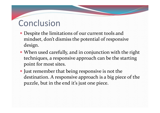## **Conclusion**

- Despite the limitations of our current tools and mindset, don't dismiss the potential of responsive design.
- When used carefully, and in conjunction with the right techniques, <sup>a</sup> responsive approach can be the starting point for most sites.
- Just remember that being responsive is not the destination. A responsive approach is <sup>a</sup> big piece of the puzzle, but in the end it's just one piece.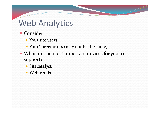# Web Analytics

- Consider
	- Your site users
	- Your Target users (may not be the same)
- What are the most important devices for you to support?
	- Sitecatalyst
	- Webtrends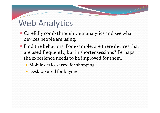# Web Analytics

- Carefully comb through your analytics and see what devices people are using.
- Find the behaviors. For example, are there devices that are used frequently, but in shorter sessions? Perhaps the experience needs to be improved for them.
	- Mobile devices used for shopping
	- Desktop used for buying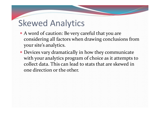- A word of caution: Be very careful that you are considering all factors when drawing conclusions from your site's analytics.
- Devices vary dramatically in how they communicate with your analytics program of choice as it attempts to collect data. This can lead to stats that are skewed in one direction or the other.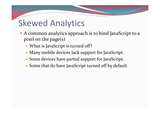- A common analytics approach is to bind JavaScript to <sup>a</sup> <sup>p</sup>ixel on the page(s)
	- What is JavaScript is turned off?
	- Many mobile devices lack suppor<sup>t</sup> for JavaScript.
	- Some devices have partial suppor<sup>t</sup> for JavaScript.
	- Some that do have JavaScript turned off by default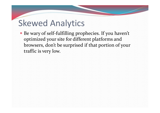● Be wary of self-fulfilling prophecies. If you haven't optimized your site for different platforms and browsers, don't be surprised if that portion of your traffic is very low.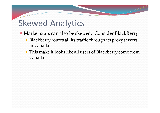- Market stats can also be skewed. Consider BlackBerry.
	- Blackberry routes all its traffic through its proxy servers in Canada.
	- This make it looks like all users of Blackberry come from Canada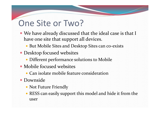# One Site or Two?

- We have already discussed that the ideal case is that I have one site that suppor<sup>t</sup> all devices.
	- But Mobile Sites and Desktop Sites can co-exists
- Desktop focused websites
	- Different performance solutions to Mobile
- Mobile focused websites
	- Can isolate mobile feature consideration
- **Downside** 
	- Not Future Friendly
	- RESS can easily suppor<sup>t</sup> this model and hide it from the user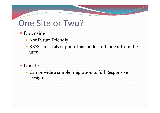## One Site or Two?

- **Downside** 
	- Not Future Friendly
	- RESS can easily suppor<sup>t</sup> this model and hide it from the user
- Upside
	- Can provide <sup>a</sup> simpler migration to full Responsive Design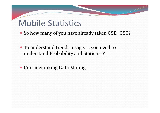## Mobile Statistics

• So how many of you have already taken CSE 380?

- To understand trends, usage, … you need to understand Probability and Statistics?
- Consider taking Data Mining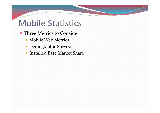## Mobile Statistics

- Three Metrics to Consider
	- Mobile Web Metrics
	- Demographic Surveys
	- Installed Base Market Share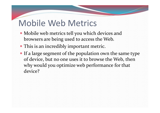# Mobile Web Metrics

- Mobile web metrics tell you which devices and browsers are being used to access the Web.
- This is an incredibly important metric.
- If <sup>a</sup> large segmen<sup>t</sup> of the population own the same type of device, but no one uses it to browse the Web, then why would you optimize web performance for that device?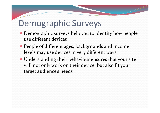# Demographic Surveys

- Demographic surveys help you to identify how people use different devices
- People of different ages, backgrounds and income levels may use devices in very different ways
- Understanding their behaviour ensures that your site will not only work on their device, but also fit your target audience's needs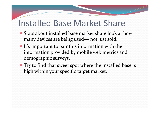### Installed Base Market Share

- Stats about installed base market share look at howmany devices are being used— not just sold.
- It's important to pair this information with the information provided by mobile web metrics and demographic surveys.
- Try to find that sweet spo<sup>t</sup> where the installed base is high within your specific target market.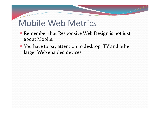# Mobile Web Metrics

- Remember that Responsive Web Design is not just about Mobile.
- You have to pay attention to desktop, TV and other larger Web enabled devices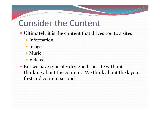## Consider the Content

- Ultimately it is the content that drives you to <sup>a</sup> sites
	- Information
	- Images
	- Music
	- Videos
- But we have typically designed the site without thinking about the content. We think about the layout first and content second